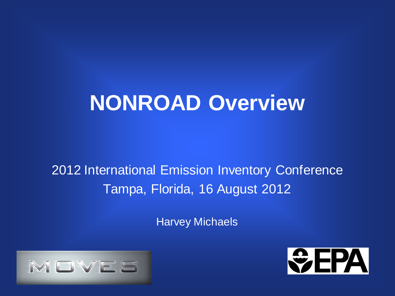# **NONROAD Overview**

2012 International Emission Inventory Conference Tampa, Florida, 16 August 2012

Harvey Michaels



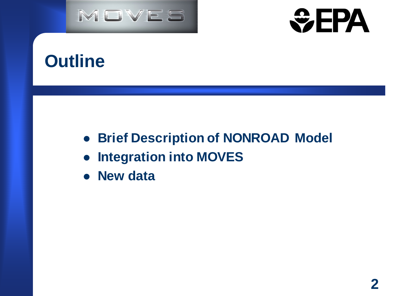



# **Outline**

- **Brief Description of NONROAD Model**
- **Integration into MOVES**
- **New data**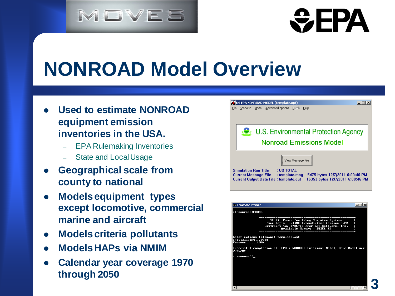# MOVES

# **WEPA**

# **NONROAD Model Overview**

- **Used to estimate NONROAD equipment emission inventories in the USA.**
	- EPA Rulemaking Inventories
	- State and Local Usage
- **Geographical scale from county to national**
- **Models equipment types except locomotive, commercial marine and aircraft**
- **Models criteria pollutants**
- **Models HAPs via NMIM**
- **Calendar year coverage 1970 through 2050**



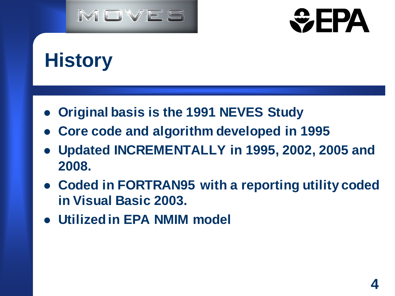



# **History**

- **Original basis is the 1991 NEVES Study**
- **Core code and algorithm developed in 1995**
- **Updated INCREMENTALLY in 1995, 2002, 2005 and 2008.**
- **Coded in FORTRAN95 with a reporting utility coded in Visual Basic 2003.**
- **Utilized in EPA NMIM model**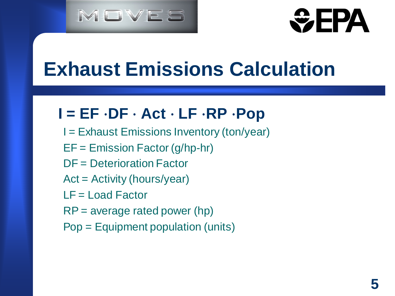



# **Exhaust Emissions Calculation**

### **I = EF** ⋅**DF** ⋅ **Act** ⋅ **LF** ⋅**RP** ⋅**Pop**

- I = Exhaust Emissions Inventory (ton/year)
- EF = Emission Factor (g/hp-hr)
- DF = Deterioration Factor
- Act = Activity (hours/year)
- LF = Load Factor
- RP = average rated power (hp)
- Pop = Equipment population (units)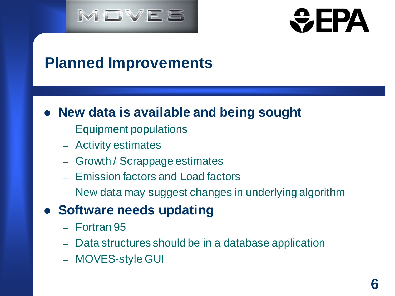



### **Planned Improvements**

#### **New data is available and being sought**

- Equipment populations
- Activity estimates
- Growth / Scrappage estimates
- Emission factors and Load factors
- New data may suggest changes in underlying algorithm

#### **• Software needs updating**

- Fortran 95
- Data structures should be in a database application
- MOVES-style GUI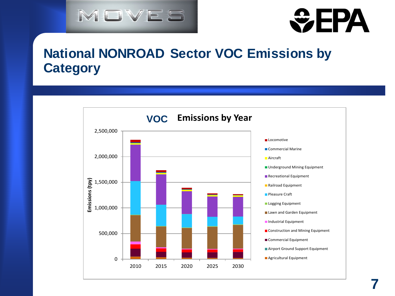



#### **National NONROAD Sector VOC Emissions by Category**

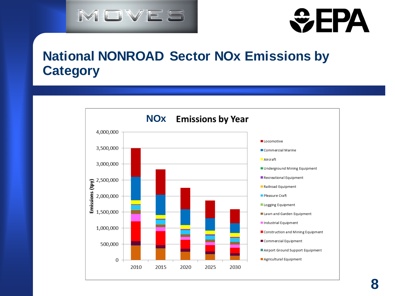



#### **National NONROAD Sector NOx Emissions by Category**

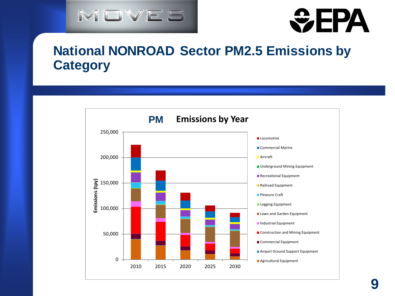



#### **National NONROAD Sector PM2.5 Emissions by Category**

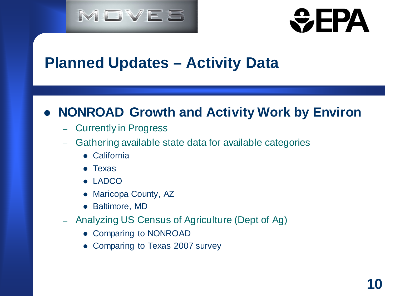



### **Planned Updates – Activity Data**

#### **NONROAD Growth and Activity Work by Environ**

- Currently in Progress
- Gathering available state data for available categories
	- California
	- Texas
	- LADCO
	- Maricopa County, AZ
	- Baltimore, MD
- Analyzing US Census of Agriculture (Dept of Ag)
	- Comparing to NONROAD
	- Comparing to Texas 2007 survey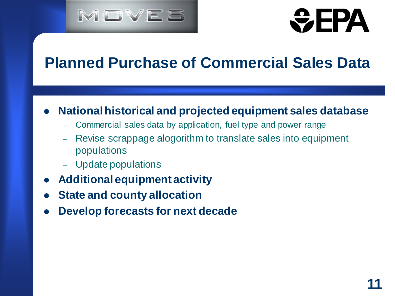



# **Planned Purchase of Commercial Sales Data**

#### **National historical and projected equipment sales database**

- Commercial sales data by application, fuel type and power range
- Revise scrappage alogorithm to translate sales into equipment populations
- Update populations
- **Additional equipment activity**
- **State and county allocation**
- **Develop forecasts for next decade**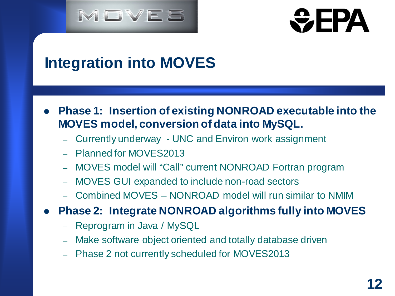



# **Integration into MOVES**

- **Phase 1: Insertion of existing NONROAD executable into the MOVES model, conversion of data into MySQL.**
	- Currently underway UNC and Environ work assignment
	- Planned for MOVES2013
	- MOVES model will "Call" current NONROAD Fortran program
	- MOVES GUI expanded to include non-road sectors
	- Combined MOVES NONROAD model will run similar to NMIM
- **Phase 2: Integrate NONROAD algorithms fully into MOVES**
	- Reprogram in Java / MySQL
	- Make software object oriented and totally database driven
	- Phase 2 not currently scheduled for MOVES2013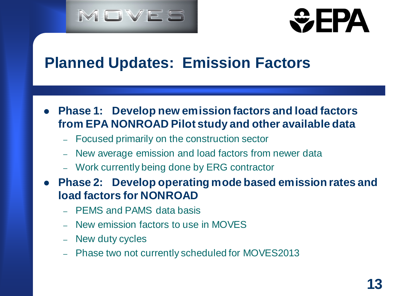



### **Planned Updates: Emission Factors**

- **Phase 1: Develop new emission factors and load factors from EPA NONROAD Pilot study and other available data**
	- Focused primarily on the construction sector
	- New average emission and load factors from newer data
	- Work currently being done by ERG contractor
- **Phase 2: Develop operating mode based emission rates and load factors for NONROAD**
	- PEMS and PAMS data basis
	- New emission factors to use in MOVES
	- New duty cycles
	- Phase two not currently scheduled for MOVES2013